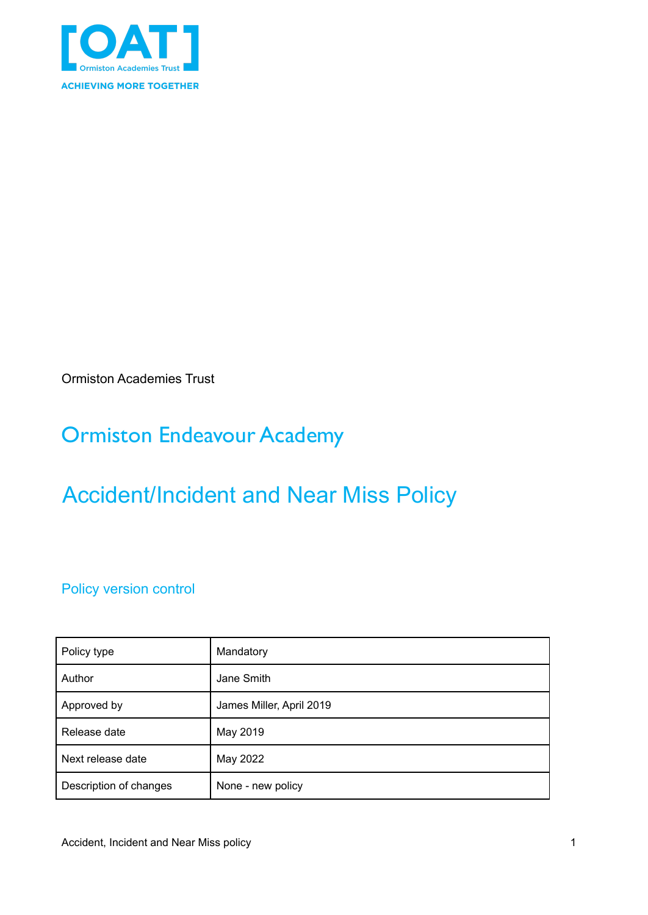

Ormiston Academies Trust

## Ormiston Endeavour Academy

# Accident/Incident and Near Miss Policy

Policy version control

| Policy type            | Mandatory                |
|------------------------|--------------------------|
| Author                 | Jane Smith               |
| Approved by            | James Miller, April 2019 |
| Release date           | May 2019                 |
| Next release date      | May 2022                 |
| Description of changes | None - new policy        |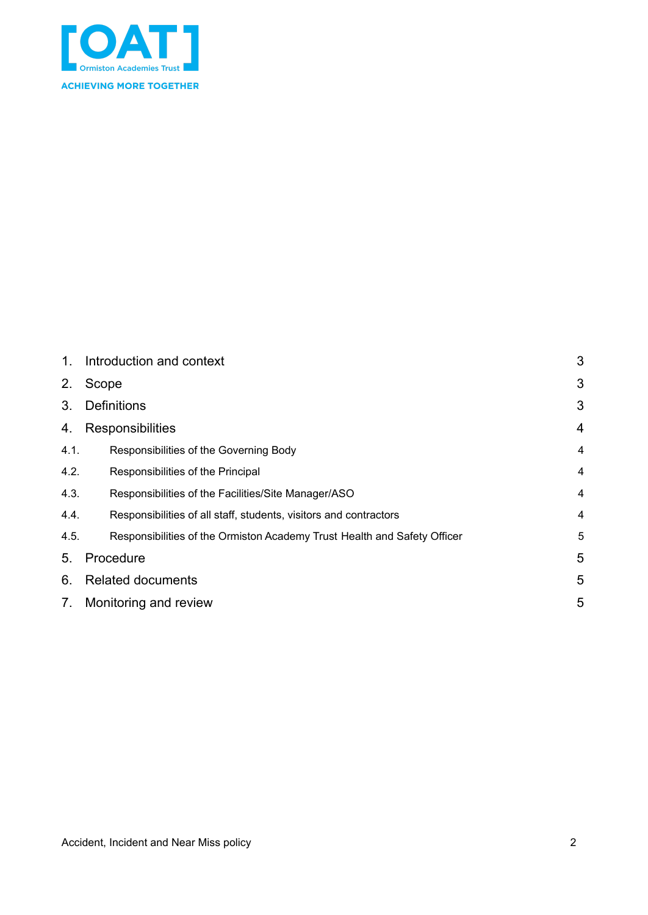

| 1.   | Introduction and context                                                 | 3              |
|------|--------------------------------------------------------------------------|----------------|
| 2.   | Scope                                                                    | 3              |
| 3.   | <b>Definitions</b>                                                       | 3              |
| 4.   | Responsibilities                                                         | 4              |
| 4.1. | Responsibilities of the Governing Body                                   | 4              |
| 4.2. | Responsibilities of the Principal                                        | $\overline{4}$ |
| 4.3. | Responsibilities of the Facilities/Site Manager/ASO                      | 4              |
| 4.4. | Responsibilities of all staff, students, visitors and contractors        | 4              |
| 4.5. | Responsibilities of the Ormiston Academy Trust Health and Safety Officer | 5              |
| 5.   | Procedure                                                                | 5              |
| 6.   | <b>Related documents</b>                                                 | 5              |
| 7.   | Monitoring and review                                                    | 5              |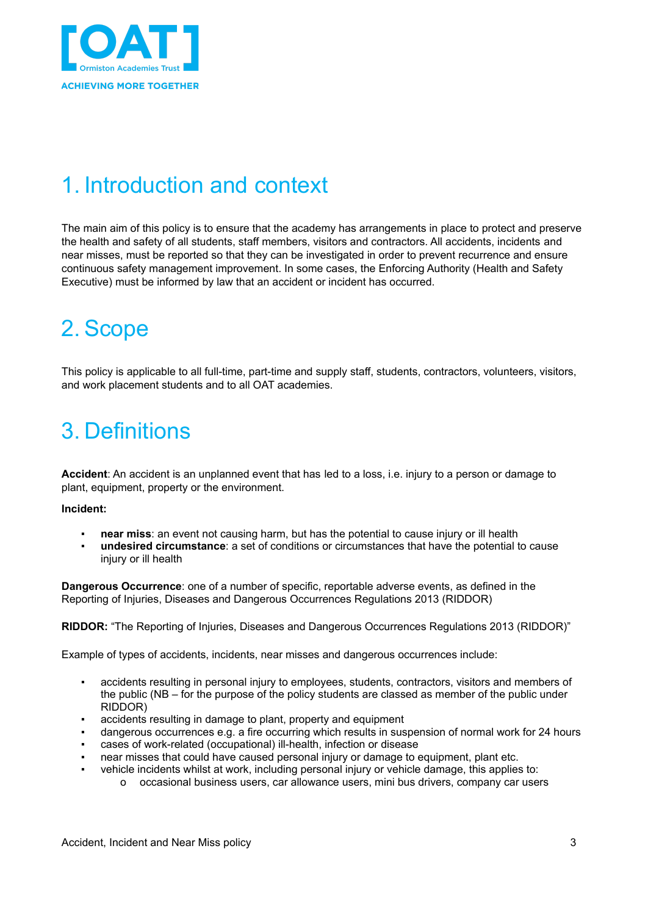

### <span id="page-2-0"></span>1. Introduction and context

The main aim of this policy is to ensure that the academy has arrangements in place to protect and preserve the health and safety of all students, staff members, visitors and contractors. All accidents, incidents and near misses, must be reported so that they can be investigated in order to prevent recurrence and ensure continuous safety management improvement. In some cases, the Enforcing Authority (Health and Safety Executive) must be informed by law that an accident or incident has occurred.

# <span id="page-2-1"></span>2. Scope

This policy is applicable to all full-time, part-time and supply staff, students, contractors, volunteers, visitors, and work placement students and to all OAT academies.

## <span id="page-2-2"></span>3. Definitions

Accident: An accident is an unplanned event that has led to a loss, i.e. injury to a person or damage to plant, equipment, property or the environment.

#### **Incident:**

- **near miss**: an event not causing harm, but has the potential to cause injury or ill health
- **undesired circumstance**: a set of conditions or circumstances that have the potential to cause injury or ill health

**Dangerous Occurrence**: one of a number of specific, reportable adverse events, as defined in the Reporting of Injuries, Diseases and Dangerous Occurrences Regulations 2013 (RIDDOR)

**RIDDOR:** "The Reporting of Injuries, Diseases and Dangerous Occurrences Regulations 2013 (RIDDOR)"

Example of types of accidents, incidents, near misses and dangerous occurrences include:

- accidents resulting in personal injury to employees, students, contractors, visitors and members of the public (NB – for the purpose of the policy students are classed as member of the public under RIDDOR)
- accidents resulting in damage to plant, property and equipment
- dangerous occurrences e.g. a fire occurring which results in suspension of normal work for 24 hours
- cases of work-related (occupational) ill-health, infection or disease
- near misses that could have caused personal injury or damage to equipment, plant etc.
- vehicle incidents whilst at work, including personal injury or vehicle damage, this applies to:
	- o occasional business users, car allowance users, mini bus drivers, company car users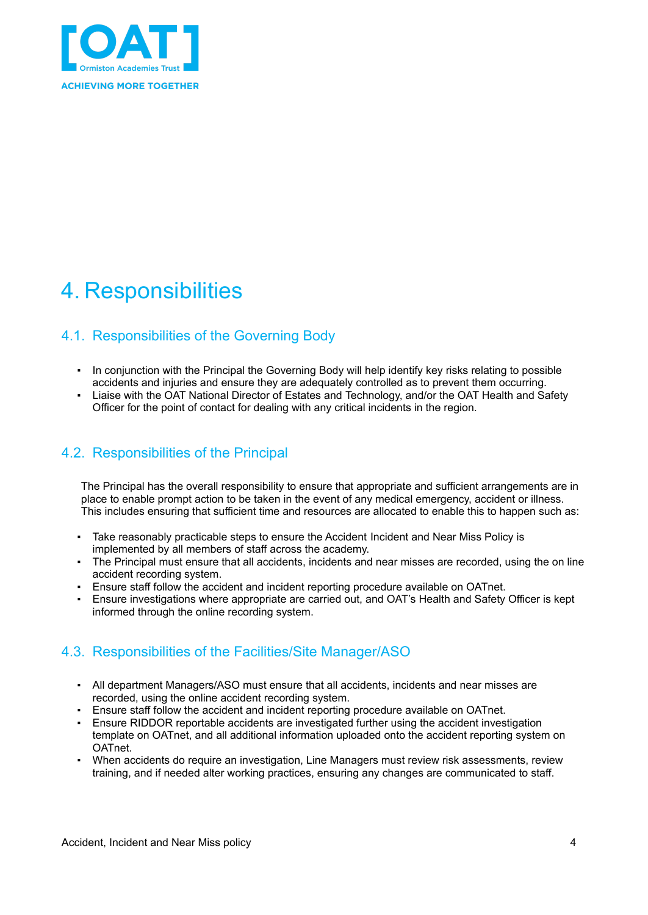

## <span id="page-3-0"></span>4. Responsibilities

### <span id="page-3-1"></span>4.1. Responsibilities of the Governing Body

- In conjunction with the Principal the Governing Body will help identify key risks relating to possible accidents and injuries and ensure they are adequately controlled as to prevent them occurring.
- Liaise with the OAT National Director of Estates and Technology, and/or the OAT Health and Safety Officer for the point of contact for dealing with any critical incidents in the region.

#### <span id="page-3-2"></span>4.2. Responsibilities of the Principal

The Principal has the overall responsibility to ensure that appropriate and sufficient arrangements are in place to enable prompt action to be taken in the event of any medical emergency, accident or illness. This includes ensuring that sufficient time and resources are allocated to enable this to happen such as:

- Take reasonably practicable steps to ensure the Accident Incident and Near Miss Policy is implemented by all members of staff across the academy.
- The Principal must ensure that all accidents, incidents and near misses are recorded, using the on line accident recording system.
- Ensure staff follow the accident and incident reporting procedure available on OATnet.
- Ensure investigations where appropriate are carried out, and OAT's Health and Safety Officer is kept informed through the online recording system.

#### <span id="page-3-3"></span>4.3. Responsibilities of the Facilities/Site Manager/ASO

- All department Managers/ASO must ensure that all accidents, incidents and near misses are recorded, using the online accident recording system.
- Ensure staff follow the accident and incident reporting procedure available on OATnet.
- Ensure RIDDOR reportable accidents are investigated further using the accident investigation template on OATnet, and all additional information uploaded onto the accident reporting system on OATnet.
- When accidents do require an investigation, Line Managers must review risk assessments, review training, and if needed alter working practices, ensuring any changes are communicated to staff.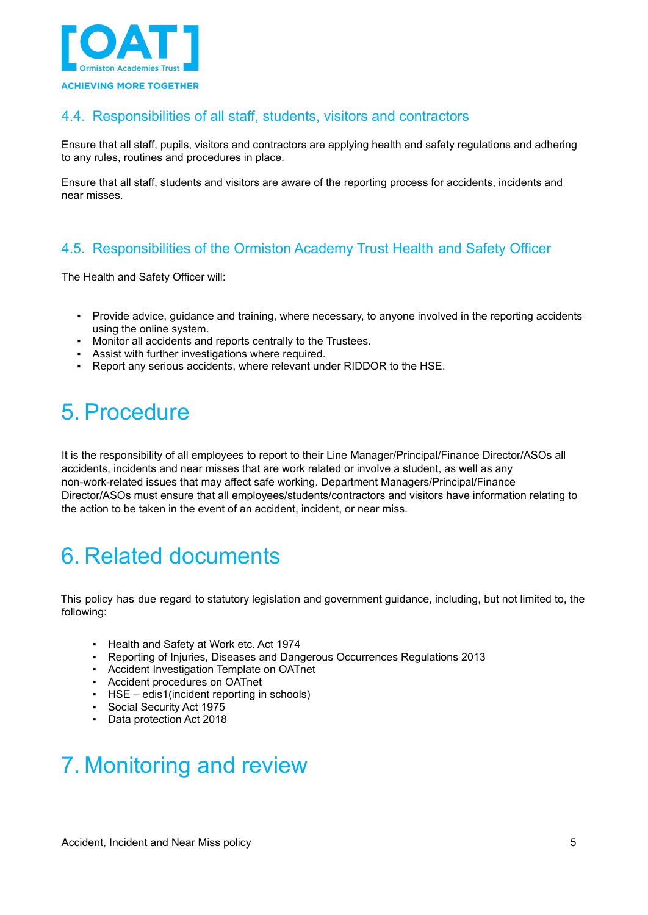

#### <span id="page-4-0"></span>4.4. Responsibilities of all staff, students, visitors and contractors

Ensure that all staff, pupils, visitors and contractors are applying health and safety regulations and adhering to any rules, routines and procedures in place.

Ensure that all staff, students and visitors are aware of the reporting process for accidents, incidents and near misses.

#### <span id="page-4-1"></span>4.5. Responsibilities of the Ormiston Academy Trust Health and Safety Officer

The Health and Safety Officer will:

- Provide advice, guidance and training, where necessary, to anyone involved in the reporting accidents using the online system.
- Monitor all accidents and reports centrally to the Trustees.
- **BET** Assist with further investigations where required.
- Report any serious accidents, where relevant under RIDDOR to the HSE.

### <span id="page-4-2"></span>5. Procedure

It is the responsibility of all employees to report to their Line Manager/Principal/Finance Director/ASOs all accidents, incidents and near misses that are work related or involve a student, as well as any non-work-related issues that may affect safe working. Department Managers/Principal/Finance Director/ASOs must ensure that all employees/students/contractors and visitors have information relating to the action to be taken in the event of an accident, incident, or near miss.

### <span id="page-4-3"></span>6. Related documents

This policy has due regard to statutory legislation and government guidance, including, but not limited to, the following:

- Health and Safety at Work etc. Act 1974
- Reporting of Injuries, Diseases and Dangerous Occurrences Regulations 2013
- Accident Investigation Template on OATnet
- Accident procedures on OATnet
- HSE edis1(incident reporting in schools)
- Social Security Act 1975
- Data protection Act 2018

### <span id="page-4-4"></span>7. Monitoring and review